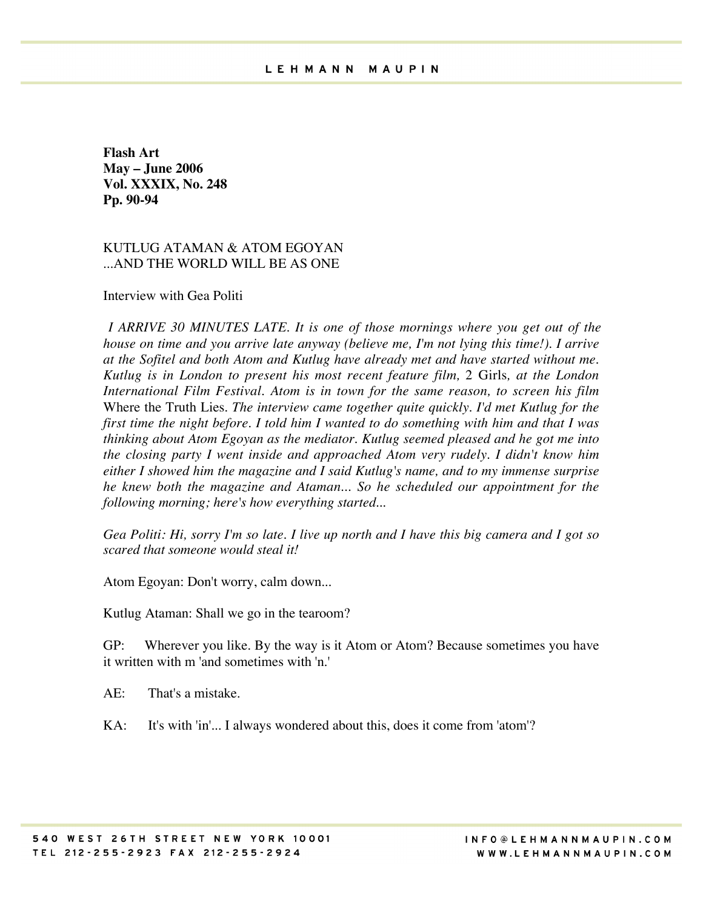**Flash Art May – June 2006 Vol. XXXIX, No. 248 Pp. 90-94**

KUTLUG ATAMAN & ATOM EGOYAN ...AND THE WORLD WILL BE AS ONE

Interview with Gea Politi

*I ARRIVE 30 MINUTES LATE. It is one of those mornings where you get out of the house on time and you arrive late anyway (believe me, I'm not lying this time!). I arrive at the Sofitel and both Atom and Kutlug have already met and have started without me. Kutlug is in London to present his most recent feature film,* 2 Girls*, at the London International Film Festival. Atom is in town for the same reason, to screen his film* Where the Truth Lies*. The interview came together quite quickly. I'd met Kutlug for the first time the night before. I told him I wanted to do something with him and that I was thinking about Atom Egoyan as the mediator. Kutlug seemed pleased and he got me into the closing party I went inside and approached Atom very rudely. I didn't know him either I showed him the magazine and I said Kutlug's name, and to my immense surprise he knew both the magazine and Ataman... So he scheduled our appointment for the following morning; here's how everything started...*

*Gea Politi: Hi, sorry I'm so late. I live up north and I have this big camera and I got so scared that someone would steal it!*

Atom Egoyan: Don't worry, calm down...

Kutlug Ataman: Shall we go in the tearoom?

GP: Wherever you like. By the way is it Atom or Atom? Because sometimes you have it written with m 'and sometimes with 'n.'

AE: That's a mistake.

KA: It's with 'in'... I always wondered about this, does it come from 'atom'?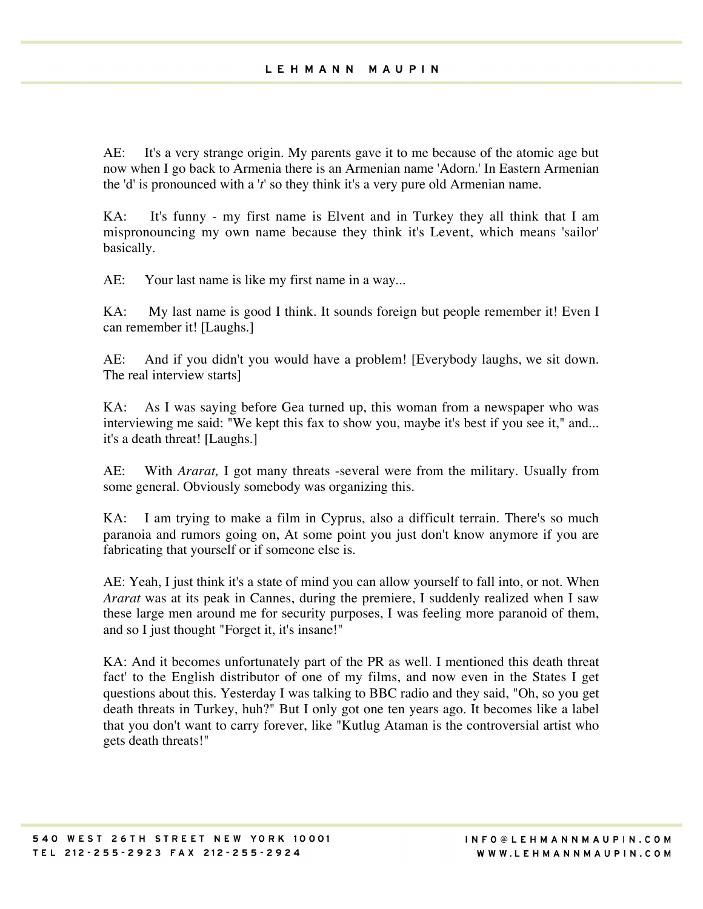AE: It's a very strange origin. My parents gave it to me because of the atomic age but now when I go back to Armenia there is an Armenian name 'Adorn.' In Eastern Armenian the 'd' is pronounced with a '*t*' so they think it's a very pure old Armenian name.

KA: It's funny - my first name is Elvent and in Turkey they all think that I am mispronouncing my own name because they think it's Levent, which means 'sailor' basically.

AE: Your last name is like my first name in a way...

KA: My last name is good I think. It sounds foreign but people remember it! Even I can remember it! [Laughs.]

AE: And if you didn't you would have a problem! [Everybody laughs, we sit down. The real interview starts]

KA: As I was saying before Gea turned up, this woman from a newspaper who was interviewing me said: "We kept this fax to show you, maybe it's best if you see it," and... it's a death threat! [Laughs.]

AE: With *Ararat,* I got many threats -several were from the military. Usually from some general. Obviously somebody was organizing this.

KA: I am trying to make a film in Cyprus, also a difficult terrain. There's so much paranoia and rumors going on, At some point you just don't know anymore if you are fabricating that yourself or if someone else is.

AE: Yeah, I just think it's a state of mind you can allow yourself to fall into, or not. When *Ararat* was at its peak in Cannes, during the premiere, I suddenly realized when I saw these large men around me for security purposes, I was feeling more paranoid of them, and so I just thought "Forget it, it's insane!"

KA: And it becomes unfortunately part of the PR as well. I mentioned this death threat fact' to the English distributor of one of my films, and now even in the States I get questions about this. Yesterday I was talking to BBC radio and they said, "Oh, so you get death threats in Turkey, huh?" But I only got one ten years ago. It becomes like a label that you don't want to carry forever, like "Kutlug Ataman is the controversial artist who gets death threats!"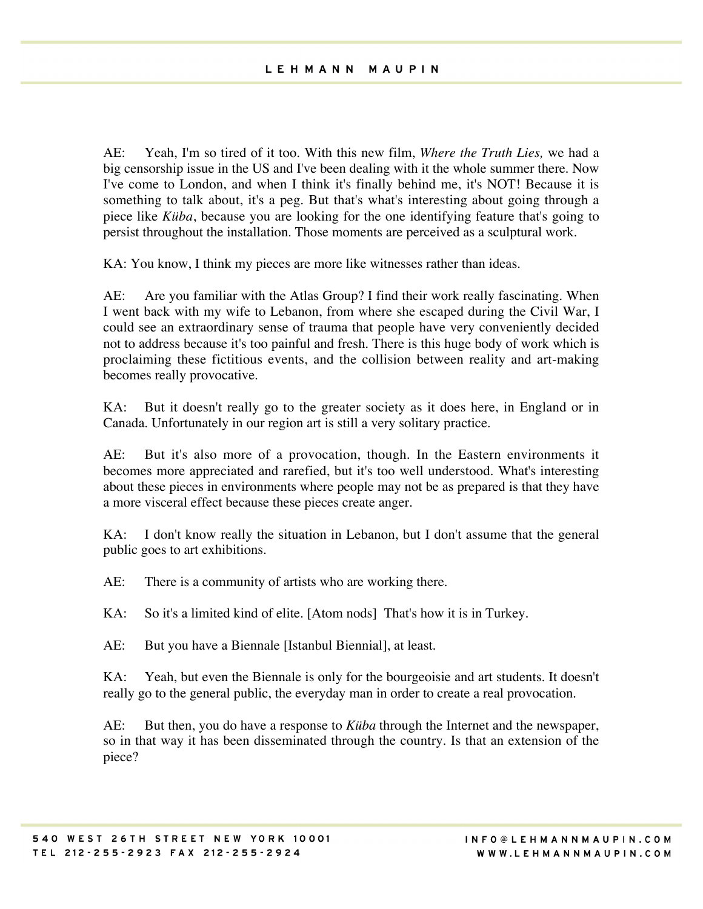AE: Yeah, I'm so tired of it too. With this new film, *Where the Truth Lies,* we had a big censorship issue in the US and I've been dealing with it the whole summer there. Now I've come to London, and when I think it's finally behind me, it's NOT! Because it is something to talk about, it's a peg. But that's what's interesting about going through a piece like *Küba*, because you are looking for the one identifying feature that's going to persist throughout the installation. Those moments are perceived as a sculptural work.

KA: You know, I think my pieces are more like witnesses rather than ideas.

AE: Are you familiar with the Atlas Group? I find their work really fascinating. When I went back with my wife to Lebanon, from where she escaped during the Civil War, I could see an extraordinary sense of trauma that people have very conveniently decided not to address because it's too painful and fresh. There is this huge body of work which is proclaiming these fictitious events, and the collision between reality and art-making becomes really provocative.

KA: But it doesn't really go to the greater society as it does here, in England or in Canada. Unfortunately in our region art is still a very solitary practice.

AE: But it's also more of a provocation, though. In the Eastern environments it becomes more appreciated and rarefied, but it's too well understood. What's interesting about these pieces in environments where people may not be as prepared is that they have a more visceral effect because these pieces create anger.

KA: I don't know really the situation in Lebanon, but I don't assume that the general public goes to art exhibitions.

AE: There is a community of artists who are working there.

KA: So it's a limited kind of elite. [Atom nods] That's how it is in Turkey.

AE: But you have a Biennale [Istanbul Biennial], at least.

KA: Yeah, but even the Biennale is only for the bourgeoisie and art students. It doesn't really go to the general public, the everyday man in order to create a real provocation.

AE: But then, you do have a response to *Küba* through the Internet and the newspaper, so in that way it has been disseminated through the country. Is that an extension of the piece?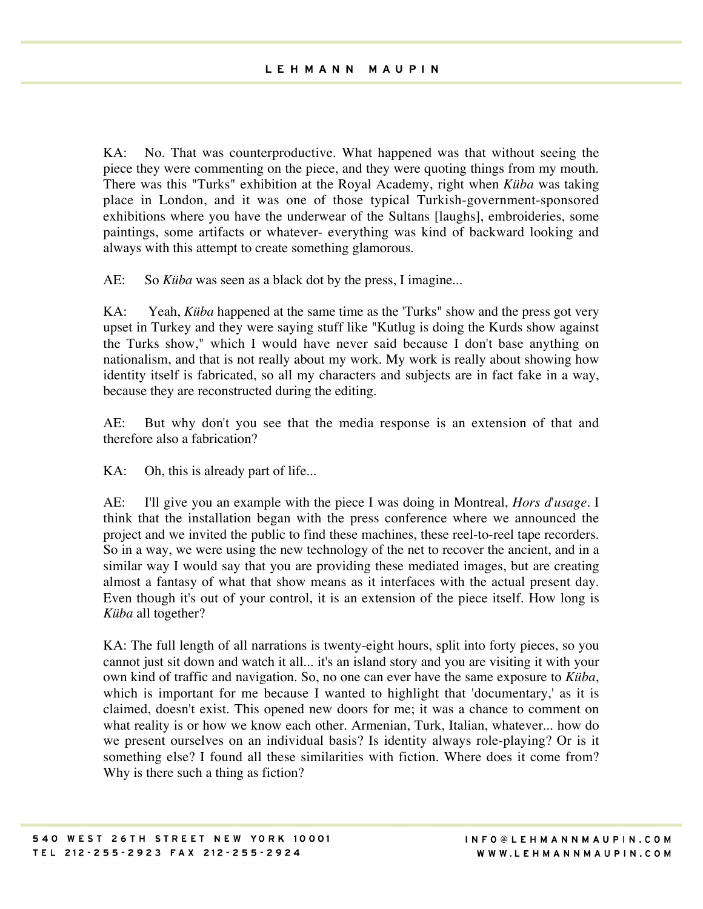KA: No. That was counterproductive. What happened was that without seeing the piece they were commenting on the piece, and they were quoting things from my mouth. There was this "Turks" exhibition at the Royal Academy, right when *Küba* was taking place in London, and it was one of those typical Turkish-government-sponsored exhibitions where you have the underwear of the Sultans [laughs], embroideries, some paintings, some artifacts or whatever- everything was kind of backward looking and always with this attempt to create something glamorous.

AE: So *Küba* was seen as a black dot by the press, I imagine...

KA: Yeah, *Küba* happened at the same time as the 'Turks" show and the press got very upset in Turkey and they were saying stuff like "Kutlug is doing the Kurds show against the Turks show," which I would have never said because I don't base anything on nationalism, and that is not really about my work. My work is really about showing how identity itself is fabricated, so all my characters and subjects are in fact fake in a way, because they are reconstructed during the editing.

AE: But why don't you see that the media response is an extension of that and therefore also a fabrication?

KA: Oh, this is already part of life...

AE: I'll give you an example with the piece I was doing in Montreal, *Hors d*'*usage*. I think that the installation began with the press conference where we announced the project and we invited the public to find these machines, these reel-to-reel tape recorders. So in a way, we were using the new technology of the net to recover the ancient, and in a similar way I would say that you are providing these mediated images, but are creating almost a fantasy of what that show means as it interfaces with the actual present day. Even though it's out of your control, it is an extension of the piece itself. How long is *Küba* all together?

KA: The full length of all narrations is twenty-eight hours, split into forty pieces, so you cannot just sit down and watch it all... it's an island story and you are visiting it with your own kind of traffic and navigation. So, no one can ever have the same exposure to *Küba*, which is important for me because I wanted to highlight that 'documentary,' as it is claimed, doesn't exist. This opened new doors for me; it was a chance to comment on what reality is or how we know each other. Armenian, Turk, Italian, whatever... how do we present ourselves on an individual basis? Is identity always role-playing? Or is it something else? I found all these similarities with fiction. Where does it come from? Why is there such a thing as fiction?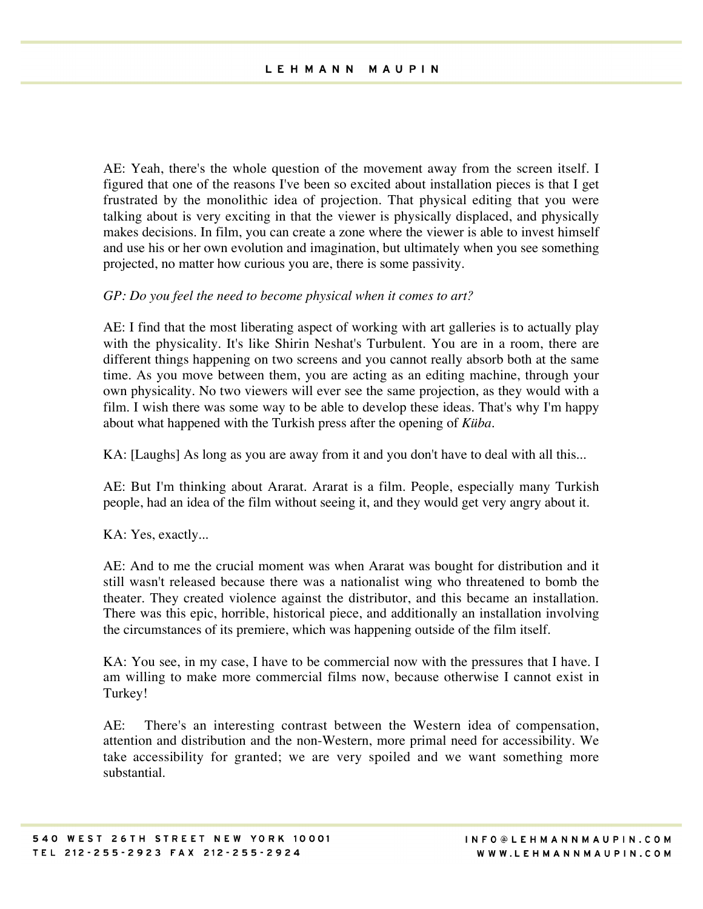AE: Yeah, there's the whole question of the movement away from the screen itself. I figured that one of the reasons I've been so excited about installation pieces is that I get frustrated by the monolithic idea of projection. That physical editing that you were talking about is very exciting in that the viewer is physically displaced, and physically makes decisions. In film, you can create a zone where the viewer is able to invest himself and use his or her own evolution and imagination, but ultimately when you see something projected, no matter how curious you are, there is some passivity.

## *GP: Do you feel the need to become physical when it comes to art?*

AE: I find that the most liberating aspect of working with art galleries is to actually play with the physicality. It's like Shirin Neshat's Turbulent. You are in a room, there are different things happening on two screens and you cannot really absorb both at the same time. As you move between them, you are acting as an editing machine, through your own physicality. No two viewers will ever see the same projection, as they would with a film. I wish there was some way to be able to develop these ideas. That's why I'm happy about what happened with the Turkish press after the opening of *Küba*.

KA: [Laughs] As long as you are away from it and you don't have to deal with all this...

AE: But I'm thinking about Ararat. Ararat is a film. People, especially many Turkish people, had an idea of the film without seeing it, and they would get very angry about it.

KA: Yes, exactly...

AE: And to me the crucial moment was when Ararat was bought for distribution and it still wasn't released because there was a nationalist wing who threatened to bomb the theater. They created violence against the distributor, and this became an installation. There was this epic, horrible, historical piece, and additionally an installation involving the circumstances of its premiere, which was happening outside of the film itself.

KA: You see, in my case, I have to be commercial now with the pressures that I have. I am willing to make more commercial films now, because otherwise I cannot exist in Turkey!

AE: There's an interesting contrast between the Western idea of compensation, attention and distribution and the non-Western, more primal need for accessibility. We take accessibility for granted; we are very spoiled and we want something more substantial.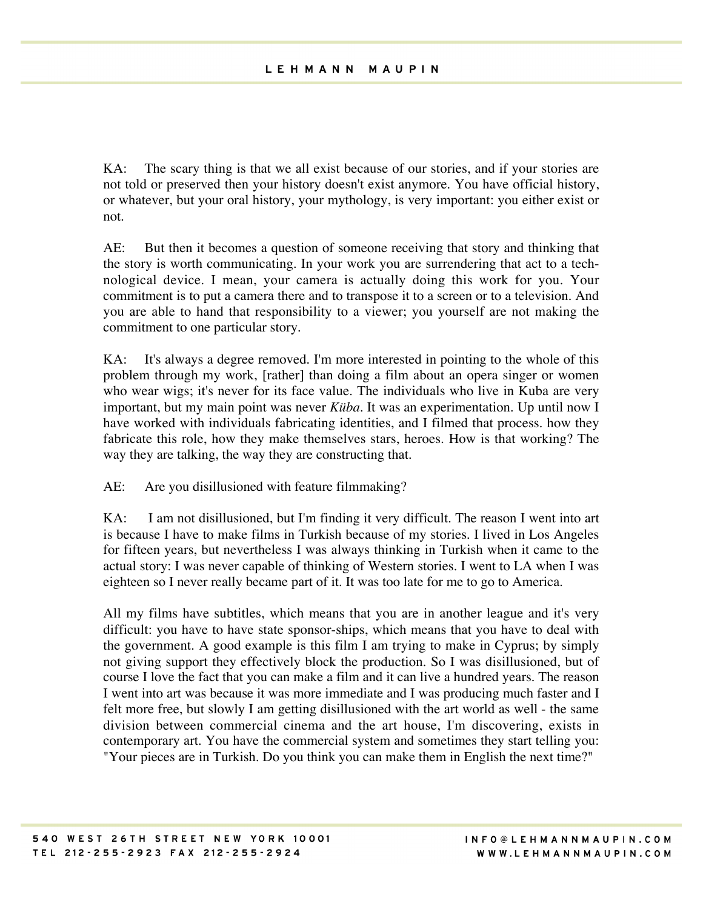KA: The scary thing is that we all exist because of our stories, and if your stories are not told or preserved then your history doesn't exist anymore. You have official history, or whatever, but your oral history, your mythology, is very important: you either exist or not.

AE: But then it becomes a question of someone receiving that story and thinking that the story is worth communicating. In your work you are surrendering that act to a technological device. I mean, your camera is actually doing this work for you. Your commitment is to put a camera there and to transpose it to a screen or to a television. And you are able to hand that responsibility to a viewer; you yourself are not making the commitment to one particular story.

KA: It's always a degree removed. I'm more interested in pointing to the whole of this problem through my work, [rather] than doing a film about an opera singer or women who wear wigs; it's never for its face value. The individuals who live in Kuba are very important, but my main point was never *Küba*. It was an experimentation. Up until now I have worked with individuals fabricating identities, and I filmed that process. how they fabricate this role, how they make themselves stars, heroes. How is that working? The way they are talking, the way they are constructing that.

AE: Are you disillusioned with feature filmmaking?

KA: I am not disillusioned, but I'm finding it very difficult. The reason I went into art is because I have to make films in Turkish because of my stories. I lived in Los Angeles for fifteen years, but nevertheless I was always thinking in Turkish when it came to the actual story: I was never capable of thinking of Western stories. I went to LA when I was eighteen so I never really became part of it. It was too late for me to go to America.

All my films have subtitles, which means that you are in another league and it's very difficult: you have to have state sponsor-ships, which means that you have to deal with the government. A good example is this film I am trying to make in Cyprus; by simply not giving support they effectively block the production. So I was disillusioned, but of course I love the fact that you can make a film and it can live a hundred years. The reason I went into art was because it was more immediate and I was producing much faster and I felt more free, but slowly I am getting disillusioned with the art world as well - the same division between commercial cinema and the art house, I'm discovering, exists in contemporary art. You have the commercial system and sometimes they start telling you: "Your pieces are in Turkish. Do you think you can make them in English the next time?"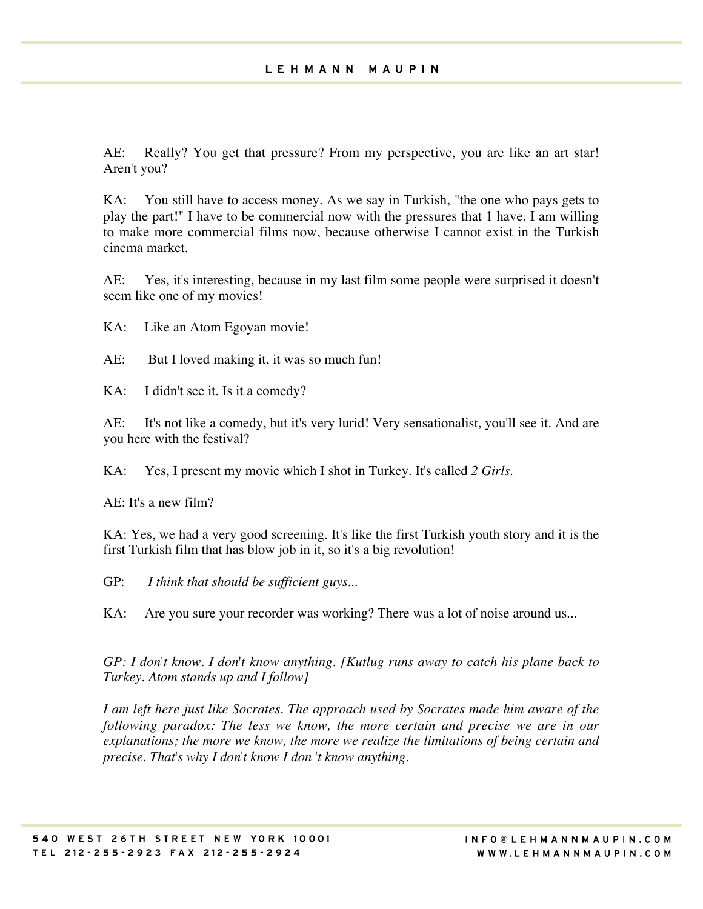AE: Really? You get that pressure? From my perspective, you are like an art star! Aren't you?

KA: You still have to access money. As we say in Turkish, "the one who pays gets to play the part!" I have to be commercial now with the pressures that 1 have. I am willing to make more commercial films now, because otherwise I cannot exist in the Turkish cinema market.

AE: Yes, it's interesting, because in my last film some people were surprised it doesn't seem like one of my movies!

KA: Like an Atom Egoyan movie!

AE: But I loved making it, it was so much fun!

KA: I didn't see it. Is it a comedy?

AE: It's not like a comedy, but it's very lurid! Very sensationalist, you'll see it. And are you here with the festival?

KA: Yes, I present my movie which I shot in Turkey. It's called *2 Girls.*

AE: It's a new film?

KA: Yes, we had a very good screening. It's like the first Turkish youth story and it is the first Turkish film that has blow job in it, so it's a big revolution!

GP: *I think that should be sufficient guys...*

KA: Are you sure your recorder was working? There was a lot of noise around us...

*GP: I don*'*t know. I don*'*t know anything. [Kutlug runs away to catch his plane back to Turkey. Atom stands up and I follow]*

*I am left here just like Socrates. The approach used by Socrates made him aware of the following paradox: The less we know, the more certain and precise we are in our explanations; the more we know, the more we realize the limitations of being certain and precise. That*'*s why I don*'*t know I don* '*t know anything.*